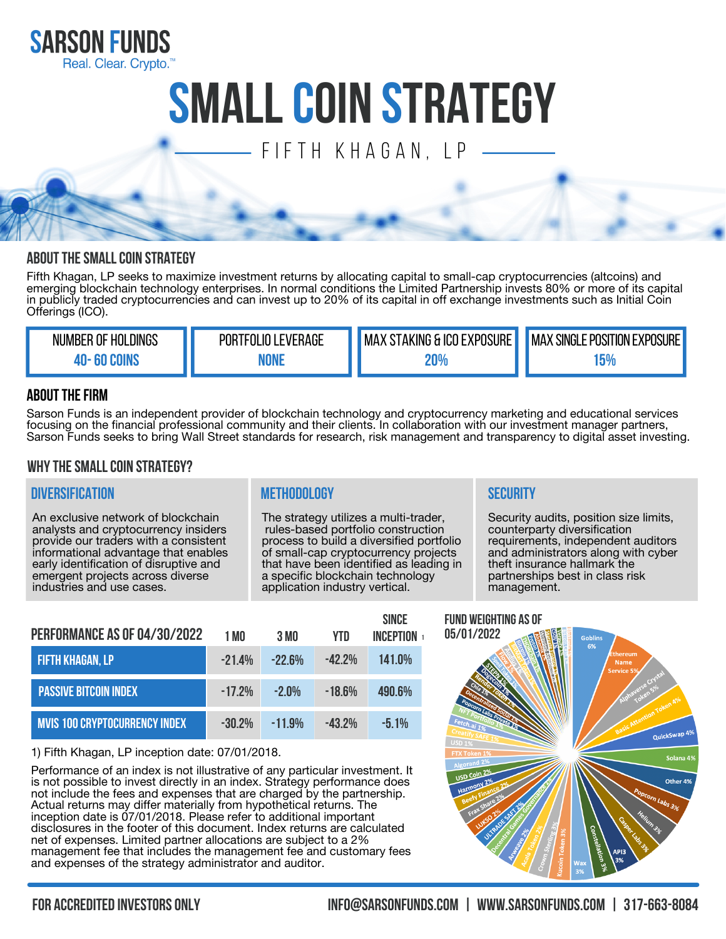

# **SMALLCOIN STRATEGY**

# $\equiv$  FIFTH KHAGAN, IP

# **ABOUT THE SMALL COIN STRATEGY**

Fifth Khagan, LP seeks to maximize investment returns by allocating capital to small-cap cryptocurrencies (altcoins) and emerging blockchain technology enterprises. In normal conditions the Limited Partnership invests 80% or more of its capital in publicly traded cryptocurrencies and can invest up to 20% of its capital in off exchange investments such as Initial Coin Offerings (ICO).

| _DINGS<br>Nl<br>' HOL<br>.OF<br><b>JMBER</b> | RAGE<br>וספ<br>- V.FI | EXPOSURE<br><b>TAKING</b><br>i ICO E<br>MA | <b>OSURE</b><br>'VN<br>SINGLE<br>OSITION <sup>T</sup><br>Dſ<br>MA)<br>∟XH' |
|----------------------------------------------|-----------------------|--------------------------------------------|----------------------------------------------------------------------------|
|                                              |                       | <b>10%</b>                                 | 15%                                                                        |

# **ABOUT THE FIRM**

Sarson Funds is an independent provider of blockchain technology and cryptocurrency marketing and educational services focusing on the financial professional community and their clients. In collaboration with our investment manager partners, Sarson Funds seeks to bring Wall Street standards for research, risk management and transparency to digital asset investing.

## **WhytheSmallcoin strategy?**

## **Diversification Methodology Security**

An exclusive network of blockchain analysts and cryptocurrency insiders provide our traders with a consistent informational advantage that enables early identification of disruptive and emergent projects across diverse industries and use cases.

The strategy utilizes a multi-trader, rules-based portfolio construction process to build a diversified portfolio of small-cap cryptocurrency projects that have been identified as leading in a specific blockchain technology application industry vertical.

Security audits, position size limits, counterparty diversification requirements, independent auditors and administrators along with cyber theft insurance hallmark the partnerships best in class risk management.

| <b>PERFORMANCE AS OF 04/30/2022</b>  | 1 MO      | 3 MO       | YTN.      | <b>SINCE</b><br><b>INCFPTION</b> |
|--------------------------------------|-----------|------------|-----------|----------------------------------|
| <b>FIFTH KHAGAN, LP</b>              | $-21.4%$  | $-22B%$    | $-42.2\%$ | 141.0%                           |
| <b>PASSIVE BITCOIN INDEX</b>         | $-17.2%$  | $-2$ $0\%$ | $-186%$   | 490.6%                           |
| <b>MVIS 100 CRYPTOCURRENCY INDEX</b> | $-30.2\%$ | $-11.9%$   | $-43.2\%$ | $-51%$                           |

1) Fifth Khagan, LP inception date: 07/01/2018.

Performance of an index is not illustrative of any particular investment. It is not possible to invest directly in an index. Strategy performance does not include the fees and expenses that are charged by the partnership. Actual returns may differ materially from hypothetical returns. The inception date is 07/01/2018. Please refer to additional important disclosures in the footer of this document. Index returns are calculated net of expenses. Limited partner allocations are subject to a 2% management fee that includes the management fee and customary fees and expenses of the strategy administrator and auditor.